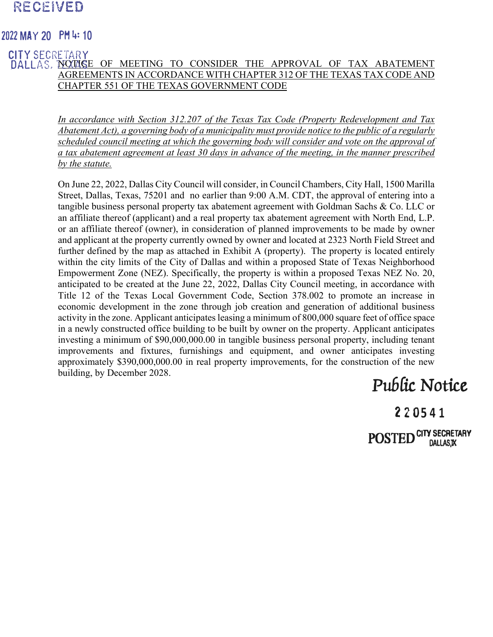### RECEIVED

### **2022 MAY <sup>20</sup> PH 4: <sup>10</sup>**

#### DALLAS, NOTICE OF MEETING TO CONSIDER THE APPROVAL OF TAX ABATEMENT AGREEMENTS IN ACCORDANCE WITH CHAPTER 312 OF THE TEXAS TAX CODE AND CHAPTER 551 OF THE TEXAS GOVERNMENT CODE **CITY SECRETARY**

*In accordance with Section 312.207 of the Texas Tax Code (Property Redevelopment and Tax Abatement Act), a governing body of a municipality must provide notice to the public of a regularly scheduled council meeting at which the governing body will consider and vote on the approval of a tax abatement agreement at least 30 days in advance of the meeting, in the manner prescribed by the statute.* 

On June 22, 2022, Dallas City Council will consider, in Council Chambers, City Hall, 1500 Marilla Street, Dallas, Texas, 75201 and no earlier than 9:00 A.M. CDT, the approval of entering into a tangible business personal property tax abatement agreement with Goldman Sachs & Co. LLC or an affiliate thereof (applicant) and a real property tax abatement agreement with North End, L.P. or an affiliate thereof (owner), in consideration of planned improvements to be made by owner and applicant at the property currently owned by owner and located at 2323 North Field Street and further defined by the map as attached in Exhibit A (property). The property is located entirely within the city limits of the City of Dallas and within a proposed State of Texas Neighborhood Empowerment Zone (NEZ). Specifically, the property is within a proposed Texas NEZ No. 20, anticipated to be created at the June 22, 2022, Dallas City Council meeting, in accordance with Title 12 of the Texas Local Government Code, Section 378.002 to promote an increase in economic development in the zone through job creation and generation of additional business activity in the zone. Applicant anticipates leasing a minimum of 800,000 square feet of office space in a newly constructed office building to be built by owner on the property. Applicant anticipates investing a minimum of \$90,000,000.00 in tangible business personal property, including tenant improvements and fixtures, furnishings and equipment, and owner anticipates investing approximately \$390,000,000.00 in real property improvements, for the construction of the new building, by December 2028.

# Public Notice

220**5 4 1**  $\operatorname{POSTED}^{\text{CITY SECRETARY}}$